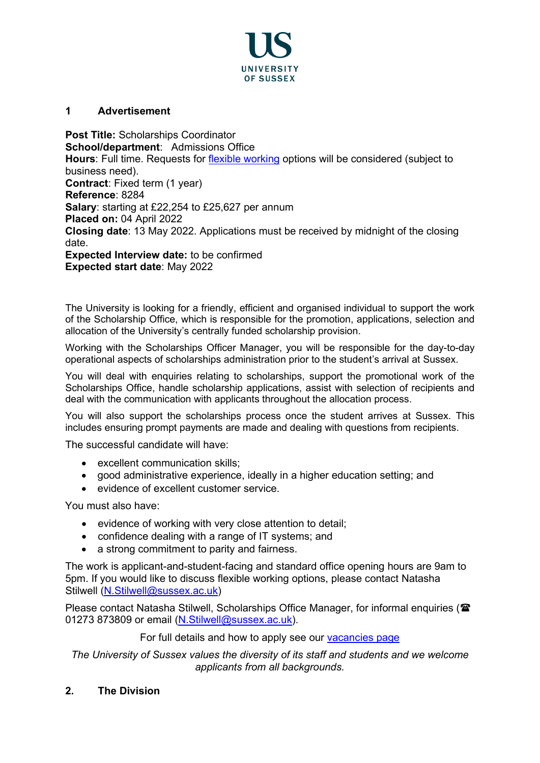

# **1 Advertisement**

**Post Title:** Scholarships Coordinator **School/department**: Admissions Office **Hours**: Full time. Requests for [flexible working](https://www.sussex.ac.uk/humanresources/business-services/flexible-working) options will be considered (subject to business need). **Contract:** Fixed term (1 year) **Reference**: 8284 **Salary**: starting at £22,254 to £25,627 per annum **Placed on:** 04 April 2022 **Closing date**: 13 May 2022. Applications must be received by midnight of the closing date. **Expected Interview date:** to be confirmed

**Expected start date**: May 2022

The University is looking for a friendly, efficient and organised individual to support the work of the Scholarship Office, which is responsible for the promotion, applications, selection and allocation of the University's centrally funded scholarship provision.

Working with the Scholarships Officer Manager, you will be responsible for the day-to-day operational aspects of scholarships administration prior to the student's arrival at Sussex.

You will deal with enquiries relating to scholarships, support the promotional work of the Scholarships Office, handle scholarship applications, assist with selection of recipients and deal with the communication with applicants throughout the allocation process.

You will also support the scholarships process once the student arrives at Sussex. This includes ensuring prompt payments are made and dealing with questions from recipients.

The successful candidate will have:

- excellent communication skills:
- good administrative experience, ideally in a higher education setting; and
- evidence of excellent customer service.

You must also have:

- evidence of working with very close attention to detail;
- confidence dealing with a range of IT systems; and
- a strong commitment to parity and fairness.

The work is applicant-and-student-facing and standard office opening hours are 9am to 5pm. If you would like to discuss flexible working options, please contact Natasha Stilwell [\(N.Stilwell@sussex.ac.uk\)](mailto:N.Stilwell@sussex.ac.uk)

Please contact Natasha Stilwell, Scholarships Office Manager, for informal enquiries (**雷** 01273 873809 or email (N.Stilwell@sussex.ac.uk).

### For full details and how to apply see our [vacancies page](http://www.sussex.ac.uk/about/jobs)

*The University of Sussex values the diversity of its staff and students and we welcome applicants from all backgrounds.*

# **2. The Division**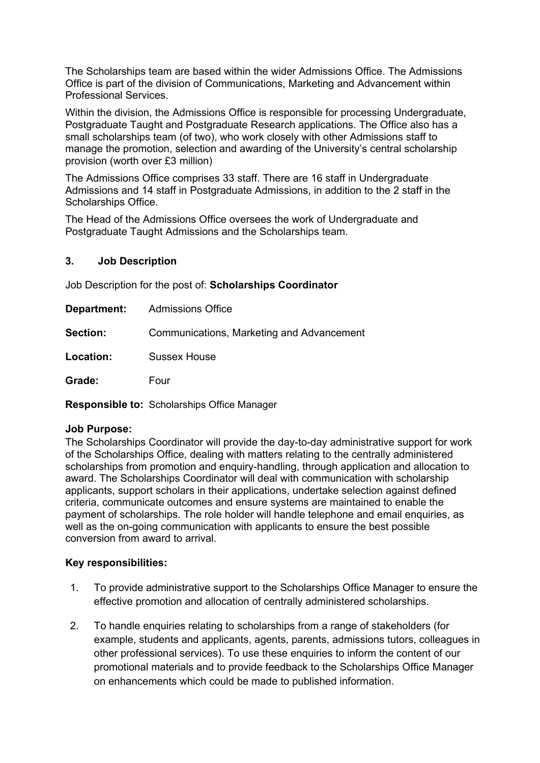The Scholarships team are based within the wider Admissions Office. The Admissions Office is part of the division of Communications, Marketing and Advancement within Professional Services.

Within the division, the Admissions Office is responsible for processing Undergraduate, Postgraduate Taught and Postgraduate Research applications. The Office also has a small scholarships team (of two), who work closely with other Admissions staff to manage the promotion, selection and awarding of the University's central scholarship provision (worth over £3 million)

The Admissions Office comprises 33 staff. There are 16 staff in Undergraduate Admissions and 14 staff in Postgraduate Admissions, in addition to the 2 staff in the Scholarships Office.

The Head of the Admissions Office oversees the work of Undergraduate and Postgraduate Taught Admissions and the Scholarships team.

## **3. Job Description**

Job Description for the post of: **Scholarships Coordinator**

|                 | <b>Department:</b> Admissions Office      |
|-----------------|-------------------------------------------|
| <b>Section:</b> | Communications, Marketing and Advancement |
| Location:       | <b>Sussex House</b>                       |
| Grade:          | Four                                      |

**Responsible to:** Scholarships Office Manager

# **Job Purpose:**

The Scholarships Coordinator will provide the day-to-day administrative support for work of the Scholarships Office, dealing with matters relating to the centrally administered scholarships from promotion and enquiry-handling, through application and allocation to award. The Scholarships Coordinator will deal with communication with scholarship applicants, support scholars in their applications, undertake selection against defined criteria, communicate outcomes and ensure systems are maintained to enable the payment of scholarships. The role holder will handle telephone and email enquiries, as well as the on-going communication with applicants to ensure the best possible conversion from award to arrival.

### **Key responsibilities:**

- 1. To provide administrative support to the Scholarships Office Manager to ensure the effective promotion and allocation of centrally administered scholarships.
- 2. To handle enquiries relating to scholarships from a range of stakeholders (for example, students and applicants, agents, parents, admissions tutors, colleagues in other professional services). To use these enquiries to inform the content of our promotional materials and to provide feedback to the Scholarships Office Manager on enhancements which could be made to published information.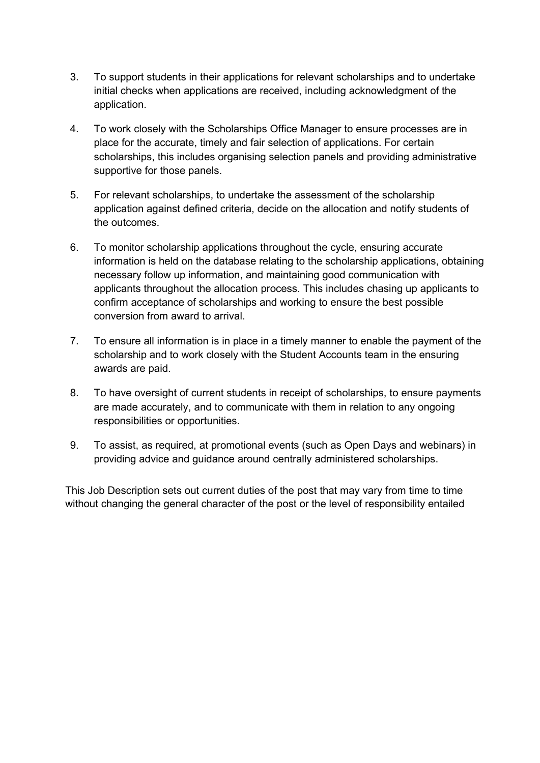- 3. To support students in their applications for relevant scholarships and to undertake initial checks when applications are received, including acknowledgment of the application.
- 4. To work closely with the Scholarships Office Manager to ensure processes are in place for the accurate, timely and fair selection of applications. For certain scholarships, this includes organising selection panels and providing administrative supportive for those panels.
- 5. For relevant scholarships, to undertake the assessment of the scholarship application against defined criteria, decide on the allocation and notify students of the outcomes.
- 6. To monitor scholarship applications throughout the cycle, ensuring accurate information is held on the database relating to the scholarship applications, obtaining necessary follow up information, and maintaining good communication with applicants throughout the allocation process. This includes chasing up applicants to confirm acceptance of scholarships and working to ensure the best possible conversion from award to arrival.
- 7. To ensure all information is in place in a timely manner to enable the payment of the scholarship and to work closely with the Student Accounts team in the ensuring awards are paid.
- 8. To have oversight of current students in receipt of scholarships, to ensure payments are made accurately, and to communicate with them in relation to any ongoing responsibilities or opportunities.
- 9. To assist, as required, at promotional events (such as Open Days and webinars) in providing advice and guidance around centrally administered scholarships.

This Job Description sets out current duties of the post that may vary from time to time without changing the general character of the post or the level of responsibility entailed